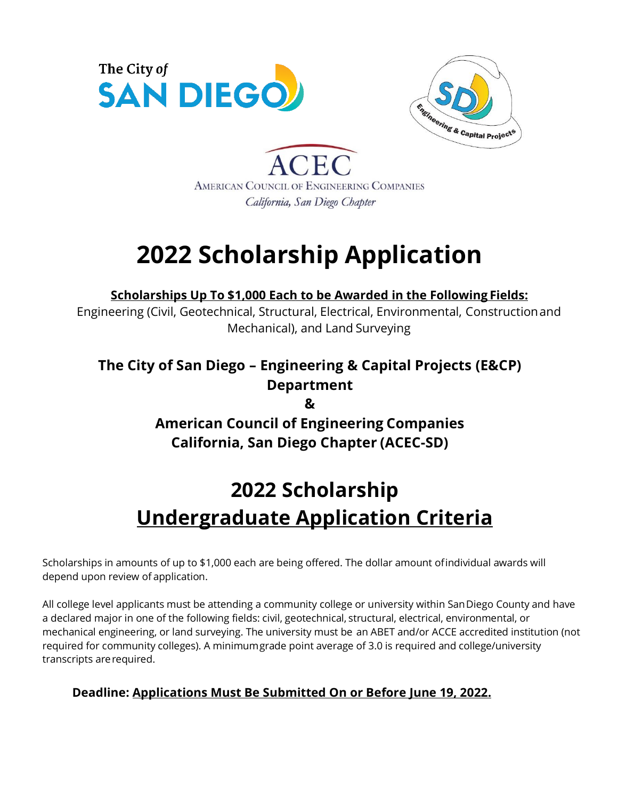



**ACE** AMERICAN COUNCIL OF ENGINEERING COMPANIES California, San Diego Chapter

# **2022 Scholarship Application**

**Scholarships Up To \$1,000 Each to be Awarded in the Following Fields:**

Engineering (Civil, Geotechnical, Structural, Electrical, Environmental, Constructionand Mechanical), and Land Surveying

## **The City of San Diego – Engineering & Capital Projects (E&CP) Department**

**&**

### **American Council of Engineering Companies California, San Diego Chapter (ACEC-SD)**

## **2022 Scholarship Undergraduate Application Criteria**

Scholarships in amounts of up to \$1,000 each are being offered. The dollar amount ofindividual awards will depend upon review of application.

All college level applicants must be attending a community college or university within SanDiego County and have a declared major in one of the following fields: civil, geotechnical, structural, electrical, environmental, or mechanical engineering, or land surveying. The university must be an ABET and/or ACCE accredited institution (not required for community colleges). A minimumgrade point average of 3.0 is required and college/university transcripts arerequired.

### **Deadline: Applications Must Be Submitted On or Before June 19, 2022.**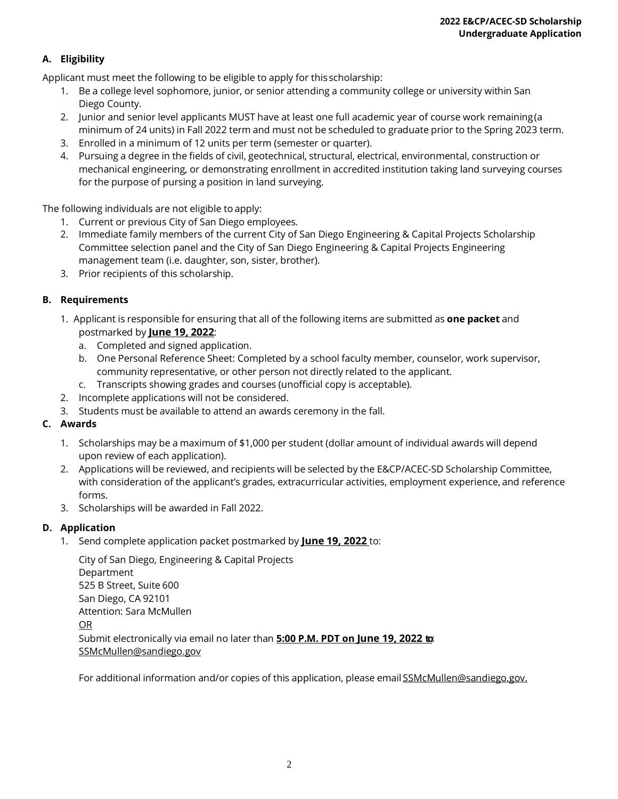#### **A. Eligibility**

Applicant must meet the following to be eligible to apply for thisscholarship:

- 1. Be a college level sophomore, junior, or senior attending a community college or university within San Diego County.
- 2. Junior and senior level applicants MUST have at least one full academic year of course work remaining(a minimumof 24 units) in Fall 2022 termand must not be scheduled to graduate prior to the Spring 2023 term.
- 3. Enrolled in a minimum of 12 units per term (semester or quarter).
- 4. Pursuing a degree in the fields of civil, geotechnical, structural, electrical, environmental, construction or mechanical engineering, or demonstrating enrollment in accredited institution taking land surveying courses for the purpose of pursing a position in land surveying.

The following individuals are not eligible to apply:

- 1. Current or previous City of San Diego employees.
- 2. Immediate family members of the current City of San Diego Engineering & Capital Projects Scholarship Committee selection panel and the City of San Diego Engineering & Capital Projects Engineering management team (i.e. daughter, son, sister, brother).
- 3. Prior recipients of this scholarship.

#### **B. Requirements**

- 1. Applicant is responsible for ensuring that all of the following items are submitted as **one packet** and postmarked by **June 19, 2022**:
	- a. Completed and signed application.
	- b. One Personal Reference Sheet: Completed by a school faculty member, counselor, work supervisor, community representative, or other person not directly related to the applicant.
	- c. Transcripts showing grades and courses (unofficial copy is acceptable).
- 2. Incomplete applications will not be considered.
- 3. Students must be available to attend an awards ceremony in the fall.

#### **C. Awards**

- 1. Scholarships may be a maximum of \$1,000 per student (dollar amount of individual awards will depend upon review of each application).
- 2. Applications will be reviewed, and recipients will be selected by the E&CP/ACEC-SD Scholarship Committee, with consideration of the applicant's grades, extracurricular activities, employment experience, and reference forms.
- 3. Scholarships will be awarded in Fall 2022.

#### **D. Application**

1. Send complete application packet postmarked by **June 19, 2022** to:

| City of San Diego, Engineering & Capital Projects                                |
|----------------------------------------------------------------------------------|
| Department                                                                       |
| 525 B Street, Suite 600                                                          |
| San Diego, CA 92101                                                              |
| Attention: Sara McMullen                                                         |
| OR.                                                                              |
| Submit electronically via email no later than 5:00 P.M. PDT on June 19, 2022 to: |
| SSMcMullen@sandiego.gov                                                          |

For additional information and/or copies of this application, please email **SSMcMullen@sandiego.gov.**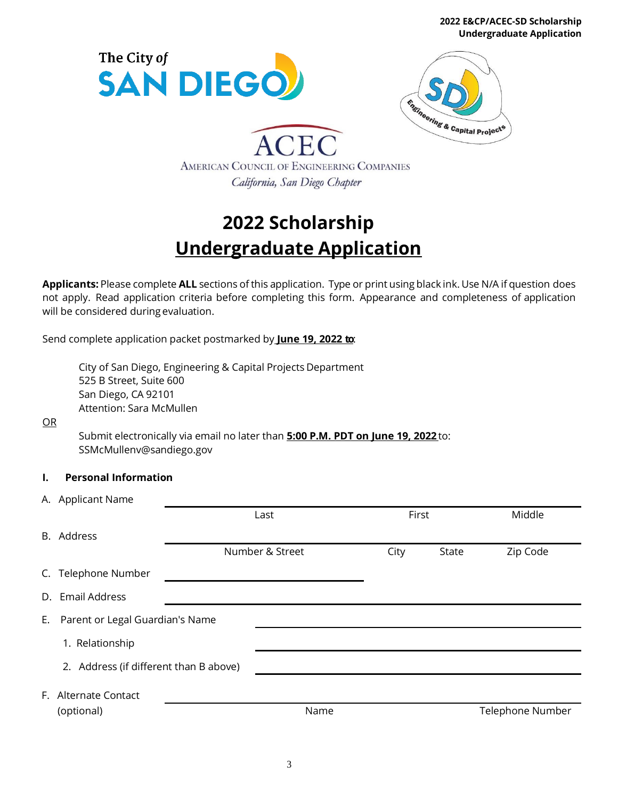**2022 E&CP/ACEC-SD Scholarship Undergraduate Application**





ACEC AMERICAN COUNCIL OF ENGINEERING COMPANIES California, San Diego Chapter

## **2022 Scholarship Undergraduate Application**

**Applicants:** Please complete **ALL** sections of this application. Type or print using black ink. Use N/A if question does not apply. Read application criteria before completing this form. Appearance and completeness of application will be considered during evaluation.

Send complete application packet postmarked by **June 19, 2022 to**:

City of San Diego, Engineering & Capital Projects Department 525 B Street, Suite 600 San Diego, CA 92101 Attention: Sara McMullen

OR

Submit electronically via email no later than **5:00 P.M. PDT on June 19, 2022** to: SSMcMullenv@sandiego.gov

#### **I. Personal Information**

|    | A. Applicant Name                      |                 |       |       |                  |
|----|----------------------------------------|-----------------|-------|-------|------------------|
|    |                                        | Last            | First |       | Middle           |
|    | B. Address                             |                 |       |       |                  |
|    |                                        | Number & Street | City  | State | Zip Code         |
|    | C. Telephone Number                    |                 |       |       |                  |
| D. | <b>Email Address</b>                   |                 |       |       |                  |
| E. | Parent or Legal Guardian's Name        |                 |       |       |                  |
|    | 1. Relationship                        |                 |       |       |                  |
|    | 2. Address (if different than B above) |                 |       |       |                  |
|    | F. Alternate Contact                   |                 |       |       |                  |
|    | (optional)                             | Name            |       |       | Telephone Number |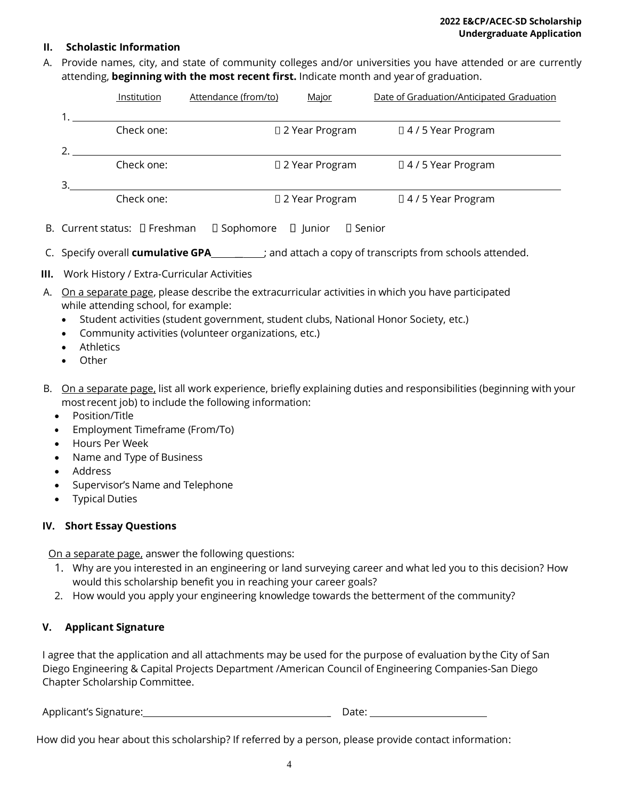#### **II. Scholastic Information**

A. Provide names, city, and state of community colleges and/or universities you have attended or are currently attending, **beginning with the most recent first.** Indicate month and yearof graduation.

| Institution | Attendance (from/to) | Major            | Date of Graduation/Anticipated Graduation |
|-------------|----------------------|------------------|-------------------------------------------|
|             |                      |                  |                                           |
| Check one:  |                      | □ 2 Year Program | $\Box$ 4 / 5 Year Program                 |
|             |                      |                  |                                           |
| Check one:  |                      | □ 2 Year Program | $\Box$ 4 / 5 Year Program                 |
|             |                      |                  |                                           |
| Check one:  |                      | □ 2 Year Program | $\Box$ 4 / 5 Year Program                 |

- B. Current status:  $\Box$  Freshman  $\Box$  Sophomore  $\Box$  Junior  $\Box$  Senior
- C. Specify overall **cumulative GPA \_\_** ; and attach a copy of transcripts from schools attended.
- **III.** Work History / Extra-Curricular Activities
- A. On a separate page, please describe the extracurricular activities in which you have participated while attending school, for example:
	- Student activities (student government, student clubs, National Honor Society, etc.)
	- Community activities (volunteer organizations, etc.)
	- Athletics
	- **Other**
- B. On a separate page, list all work experience, briefly explaining duties and responsibilities (beginning with your most recent job) to include the following information:
	- Position/Title
	- Employment Timeframe (From/To)
	- Hours Per Week
	- Name and Type of Business
	- Address
	- Supervisor's Name and Telephone
	- Typical Duties

#### **IV. Short Essay Questions**

On a separate page, answer the following questions:

- 1. Why are you interested in an engineering or land surveying career and what led you to this decision? How would this scholarship benefit you in reaching your career goals?
- 2. How would you apply your engineering knowledge towards the betterment of the community?

#### **V. Applicant Signature**

I agree that the application and all attachments may be used for the purpose of evaluation by the City of San Diego Engineering & Capital Projects Department /American Council of Engineering Companies-San Diego Chapter Scholarship Committee.

| Applicant's Signature: | Date |
|------------------------|------|
|------------------------|------|

How did you hear about this scholarship? If referred by a person, please provide contact information: